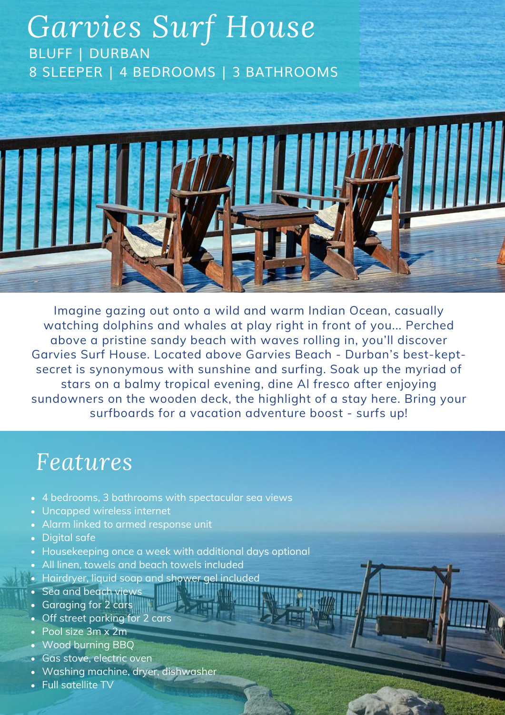#### *Garvies Surf House* BLUFF | DURBAN 8 SLEEPER | 4 BEDROOMS | 3 BATHROOMS



Imagine gazing out onto a wild and warm Indian Ocean, casually watching dolphins and whales at play right in front of you... Perched above a pristine sandy beach with waves rolling in, you'll discover Garvies Surf House. Located above Garvies Beach - Durban's best-keptsecret is synonymous with sunshine and surfing. Soak up the myriad of stars on a balmy tropical evening, dine Al fresco after enjoying sundowners on the wooden deck, the highlight of a stay here. Bring your surfboards for a vacation adventure boost - surfs up!

#### *Features*

- 4 bedrooms, 3 bathrooms with spectacular sea views
- Uncapped wireless internet
- Alarm linked to armed response unit
- Digital safe
- Housekeeping once a week with additional days optional
- All linen, towels and beach towels included
- Hairdryer, liquid soap and shower gel included
- Sea and beach views
- Garaging for 2 cars
- Off street parking for 2 cars
- Pool size 3m x 2m
- Wood burning BBQ
- Gas stove, electric oven
- Washing machine, dryer, dishwasher
- Full satellite TV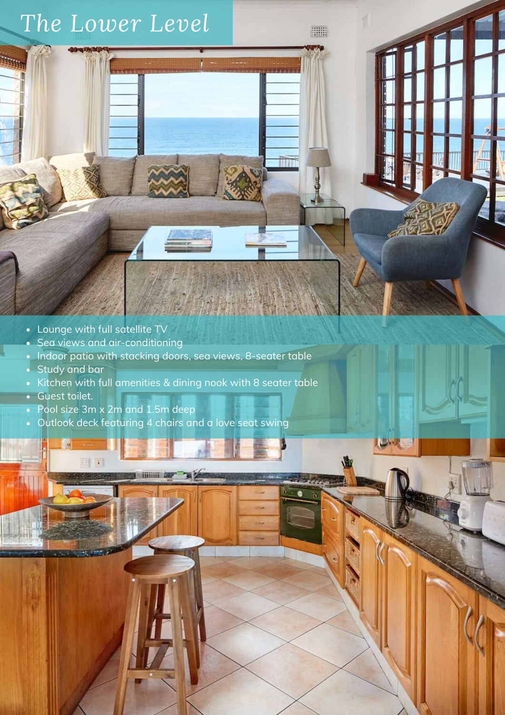## *The Lower Level*

**HILL** 

**LAW** 

W

TTT



- Sea views and air-conditioning
- Indoor patio with stacking doors, sea views, 8-seater table
- Study and bar

 $\sqrt{2}$ 

- Kitchen with full amenities & dining nook with 8 seater table
- Guest toilet.
- Pool size 3m x 2m and 1.5m deep

國国

Outlook deck featuring 4 chairs and a love seat swing

**HIMMED**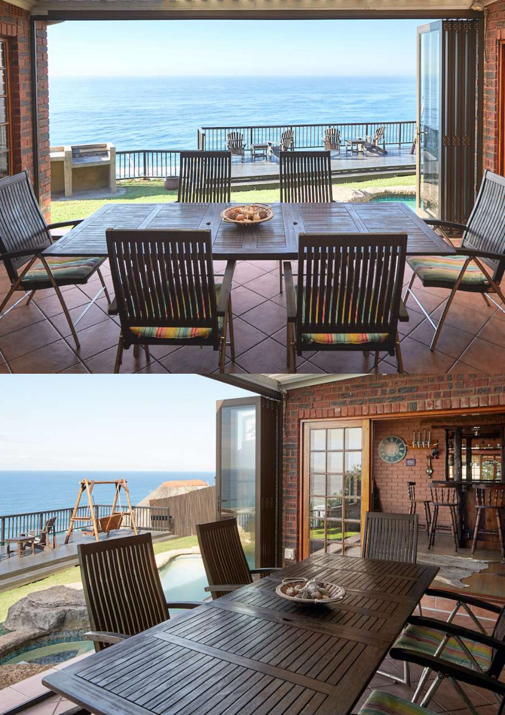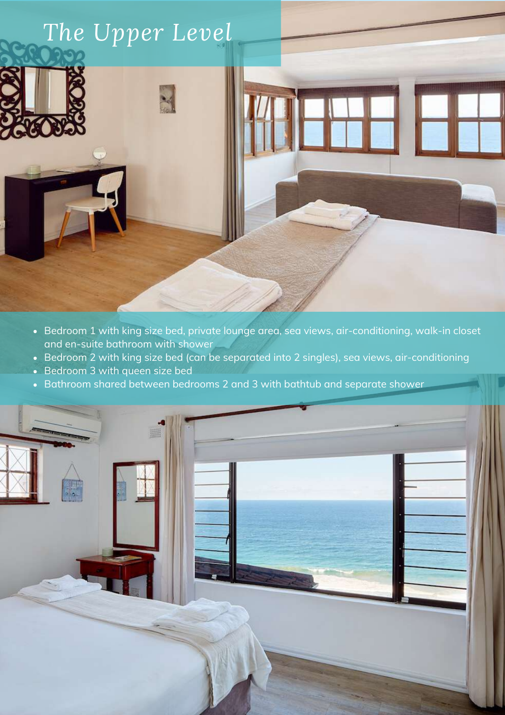# *The Upper Level*

- Bedroom 1 with king size bed, private lounge area, sea views, air-conditioning, walk-in closet and en-suite bathroom with shower
- Bedroom 2 with king size bed (can be separated into 2 singles), sea views, air-conditioning
- Bedroom 3 with queen size bed
- Bathroom shared between bedrooms 2 and 3 with bathtub and separate shower